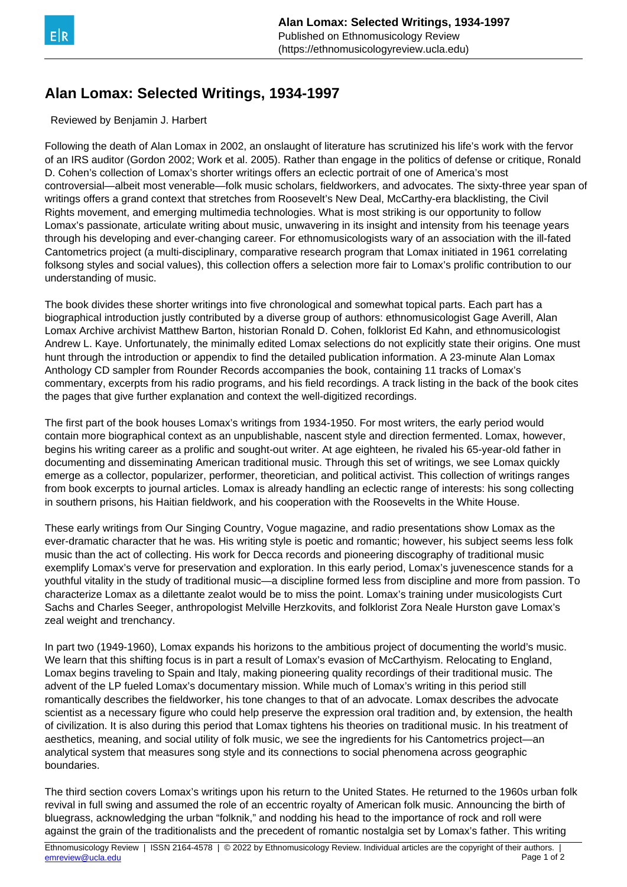

## **Alan Lomax: Selected Writings, 1934-1997**

Reviewed by Benjamin J. Harbert

Following the death of Alan Lomax in 2002, an onslaught of literature has scrutinized his life's work with the fervor of an IRS auditor (Gordon 2002; Work et al. 2005). Rather than engage in the politics of defense or critique, Ronald D. Cohen's collection of Lomax's shorter writings offers an eclectic portrait of one of America's most controversial—albeit most venerable—folk music scholars, fieldworkers, and advocates. The sixty-three year span of writings offers a grand context that stretches from Roosevelt's New Deal, McCarthy-era blacklisting, the Civil Rights movement, and emerging multimedia technologies. What is most striking is our opportunity to follow Lomax's passionate, articulate writing about music, unwavering in its insight and intensity from his teenage years through his developing and ever-changing career. For ethnomusicologists wary of an association with the ill-fated Cantometrics project (a multi-disciplinary, comparative research program that Lomax initiated in 1961 correlating folksong styles and social values), this collection offers a selection more fair to Lomax's prolific contribution to our understanding of music.

The book divides these shorter writings into five chronological and somewhat topical parts. Each part has a biographical introduction justly contributed by a diverse group of authors: ethnomusicologist Gage Averill, Alan Lomax Archive archivist Matthew Barton, historian Ronald D. Cohen, folklorist Ed Kahn, and ethnomusicologist Andrew L. Kaye. Unfortunately, the minimally edited Lomax selections do not explicitly state their origins. One must hunt through the introduction or appendix to find the detailed publication information. A 23-minute Alan Lomax Anthology CD sampler from Rounder Records accompanies the book, containing 11 tracks of Lomax's commentary, excerpts from his radio programs, and his field recordings. A track listing in the back of the book cites the pages that give further explanation and context the well-digitized recordings.

The first part of the book houses Lomax's writings from 1934-1950. For most writers, the early period would contain more biographical context as an unpublishable, nascent style and direction fermented. Lomax, however, begins his writing career as a prolific and sought-out writer. At age eighteen, he rivaled his 65-year-old father in documenting and disseminating American traditional music. Through this set of writings, we see Lomax quickly emerge as a collector, popularizer, performer, theoretician, and political activist. This collection of writings ranges from book excerpts to journal articles. Lomax is already handling an eclectic range of interests: his song collecting in southern prisons, his Haitian fieldwork, and his cooperation with the Roosevelts in the White House.

These early writings from Our Singing Country, Vogue magazine, and radio presentations show Lomax as the ever-dramatic character that he was. His writing style is poetic and romantic; however, his subject seems less folk music than the act of collecting. His work for Decca records and pioneering discography of traditional music exemplify Lomax's verve for preservation and exploration. In this early period, Lomax's juvenescence stands for a youthful vitality in the study of traditional music—a discipline formed less from discipline and more from passion. To characterize Lomax as a dilettante zealot would be to miss the point. Lomax's training under musicologists Curt Sachs and Charles Seeger, anthropologist Melville Herzkovits, and folklorist Zora Neale Hurston gave Lomax's zeal weight and trenchancy.

In part two (1949-1960), Lomax expands his horizons to the ambitious project of documenting the world's music. We learn that this shifting focus is in part a result of Lomax's evasion of McCarthyism. Relocating to England, Lomax begins traveling to Spain and Italy, making pioneering quality recordings of their traditional music. The advent of the LP fueled Lomax's documentary mission. While much of Lomax's writing in this period still romantically describes the fieldworker, his tone changes to that of an advocate. Lomax describes the advocate scientist as a necessary figure who could help preserve the expression oral tradition and, by extension, the health of civilization. It is also during this period that Lomax tightens his theories on traditional music. In his treatment of aesthetics, meaning, and social utility of folk music, we see the ingredients for his Cantometrics project—an analytical system that measures song style and its connections to social phenomena across geographic boundaries.

The third section covers Lomax's writings upon his return to the United States. He returned to the 1960s urban folk revival in full swing and assumed the role of an eccentric royalty of American folk music. Announcing the birth of bluegrass, acknowledging the urban "folknik," and nodding his head to the importance of rock and roll were against the grain of the traditionalists and the precedent of romantic nostalgia set by Lomax's father. This writing